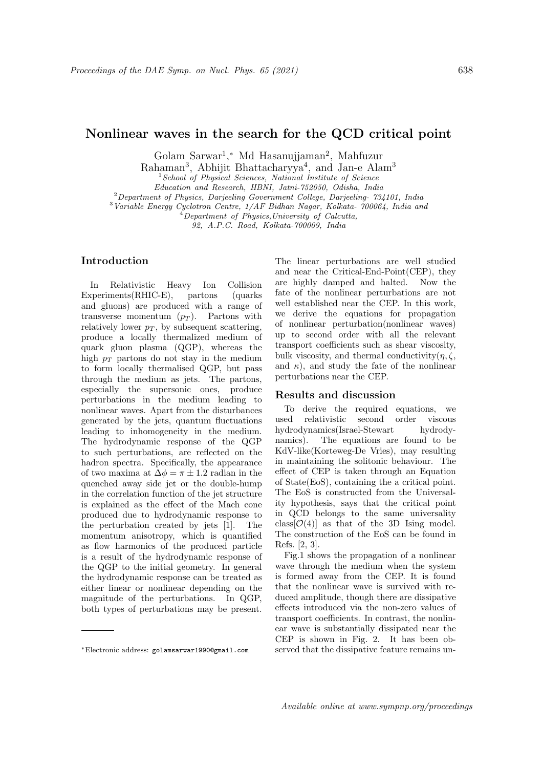## Nonlinear waves in the search for the QCD critical point

Golam Sarwar<sup>1</sup>,\* Md Hasanujjaman<sup>2</sup>, Mahfuzur

Rahaman<sup>3</sup>, Abhijit Bhattacharyya<sup>4</sup>, and Jan-e Alam<sup>3</sup>

<sup>1</sup> School of Physical Sciences, National Institute of Science

Education and Research, HBNI, Jatni-752050, Odisha, India

<sup>2</sup>Department of Physics, Darjeeling Government College, Darjeeling- 734101, India

<sup>3</sup>Variable Energy Cyclotron Centre, 1/AF Bidhan Nagar, Kolkata- 700064, India and

 $^{4}$ Department of Physics, University of Calcutta,

92, A.P.C. Road, Kolkata-700009, India

## Introduction

In Relativistic Heavy Ion Collision<br>
xperiments(RHIC-E), partons (quarks Experiments(RHIC-E), partons (quarks and gluons) are produced with a range of transverse momentum  $(p_T)$ . Partons with relatively lower  $p<sub>T</sub>$ , by subsequent scattering, produce a locally thermalized medium of quark gluon plasma (QGP), whereas the high  $p_T$  partons do not stay in the medium to form locally thermalised QGP, but pass through the medium as jets. The partons, especially the supersonic ones, produce perturbations in the medium leading to nonlinear waves. Apart from the disturbances generated by the jets, quantum fluctuations leading to inhomogeneity in the medium. The hydrodynamic response of the QGP to such perturbations, are reflected on the hadron spectra. Specifically, the appearance of two maxima at  $\Delta \phi = \pi \pm 1.2$  radian in the quenched away side jet or the double-hump in the correlation function of the jet structure is explained as the effect of the Mach cone produced due to hydrodynamic response to the perturbation created by jets [1]. The momentum anisotropy, which is quantified as flow harmonics of the produced particle is a result of the hydrodynamic response of the QGP to the initial geometry. In general the hydrodynamic response can be treated as either linear or nonlinear depending on the magnitude of the perturbations. In QGP, both types of perturbations may be present.

The linear perturbations are well studied and near the Critical-End-Point(CEP), they are highly damped and halted. Now the fate of the nonlinear perturbations are not well established near the CEP. In this work, we derive the equations for propagation of nonlinear perturbation(nonlinear waves) up to second order with all the relevant transport coefficients such as shear viscosity, bulk viscosity, and thermal conductivity $(\eta, \zeta, \zeta)$ and  $\kappa$ ), and study the fate of the nonlinear perturbations near the CEP.

## Results and discussion

To derive the required equations, we used relativistic second order viscous hydrodynamics(Israel-Stewart hydrodynamics). The equations are found to be KdV-like(Korteweg-De Vries), may resulting in maintaining the solitonic behaviour. The effect of CEP is taken through an Equation of State(EoS), containing the a critical point. The EoS is constructed from the Universality hypothesis, says that the critical point in QCD belongs to the same universality class  $\mathcal{O}(4)$  as that of the 3D Ising model. The construction of the EoS can be found in Refs. [2, 3].

Fig.1 shows the propagation of a nonlinear wave through the medium when the system is formed away from the CEP. It is found that the nonlinear wave is survived with reduced amplitude, though there are dissipative effects introduced via the non-zero values of transport coefficients. In contrast, the nonlinear wave is substantially dissipated near the CEP is shown in Fig. 2. It has been observed that the dissipative feature remains un-

<sup>∗</sup>Electronic address: golamsarwar1990@gmail.com